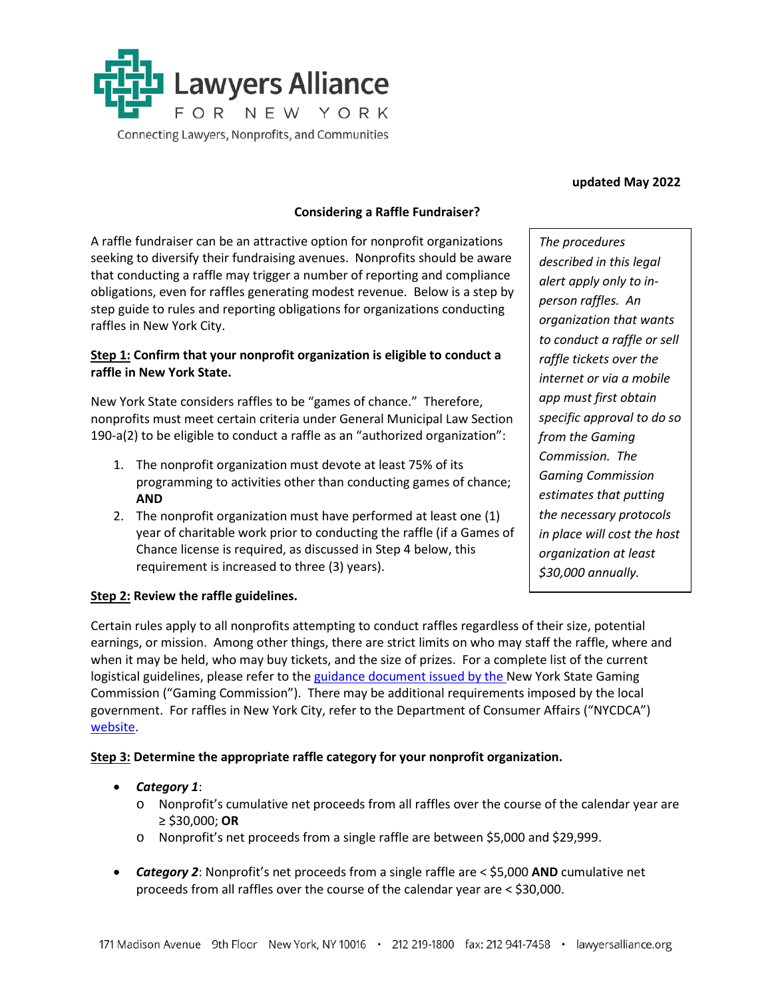

#### **updated May 2022**

#### **Considering a Raffle Fundraiser?**

A raffle fundraiser can be an attractive option for nonprofit organizations seeking to diversify their fundraising avenues. Nonprofits should be aware that conducting a raffle may trigger a number of reporting and compliance obligations, even for raffles generating modest revenue. Below is a step by step guide to rules and reporting obligations for organizations conducting raffles in New York City.

### **Step 1: Confirm that your nonprofit organization is eligible to conduct a raffle in New York State.**

New York State considers raffles to be "games of chance." Therefore, nonprofits must meet certain criteria under General Municipal Law Section 190-a(2) to be eligible to conduct a raffle as an "authorized organization":

- 1. The nonprofit organization must devote at least 75% of its programming to activities other than conducting games of chance; **AND**
- 2. The nonprofit organization must have performed at least one (1) year of charitable work prior to conducting the raffle (if a Games of Chance license is required, as discussed in Step 4 below, this requirement is increased to three (3) years).

*The procedures described in this legal alert apply only to inperson raffles. An organization that wants to conduct a raffle or sell raffle tickets over the internet or via a mobile app must first obtain specific approval to do so from the Gaming Commission. The Gaming Commission estimates that putting the necessary protocols in place will cost the host organization at least \$30,000 annually.*

### **Step 2: Review the raffle guidelines.**

Certain rules apply to all nonprofits attempting to conduct raffles regardless of their size, potential earnings, or mission. Among other things, there are strict limits on who may staff the raffle, where and when it may be held, who may buy tickets, and the size of prizes. For a complete list of the current logistical guidelines, please refer to the [guidance document](https://www.gaming.ny.gov/pdf/REVISED%20Raffle%20Guidelines%208%2023%202018.pdf) issued by the New York State Gaming Commission ("Gaming Commission"). There may be additional requirements imposed by the local government. For raffles in New York City, refer to the Department of Consumer Affairs ("NYCDCA") [website.](https://www1.nyc.gov/assets/dca/downloads/pdf/about/games_of_chance_law.pdf)

### **Step 3: Determine the appropriate raffle category for your nonprofit organization.**

- *Category 1*:
	- o Nonprofit's cumulative net proceeds from all raffles over the course of the calendar year are ≥ \$30,000; **OR**
	- o Nonprofit's net proceeds from a single raffle are between \$5,000 and \$29,999.
- *Category 2*: Nonprofit's net proceeds from a single raffle are < \$5,000 **AND** cumulative net proceeds from all raffles over the course of the calendar year are < \$30,000.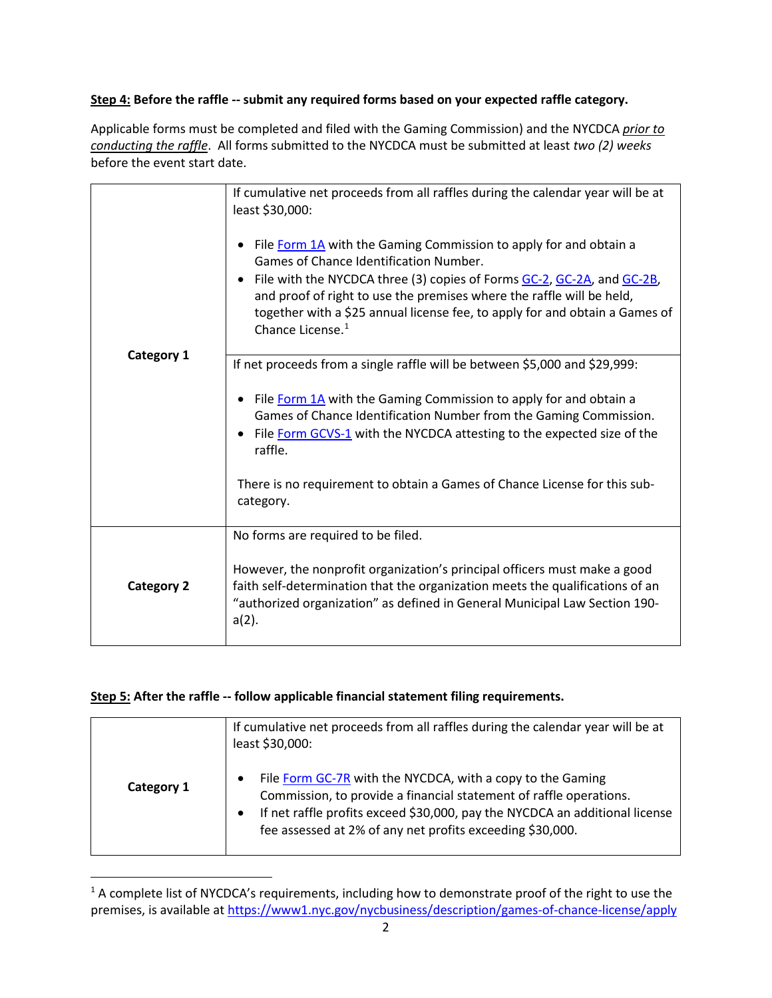# **Step 4: Before the raffle -- submit any required forms based on your expected raffle category.**

Applicable forms must be completed and filed with the Gaming Commission) and the NYCDCA *prior to conducting the raffle*. All forms submitted to the NYCDCA must be submitted at least *two (2) weeks* before the event start date.

|                   | If cumulative net proceeds from all raffles during the calendar year will be at<br>least \$30,000:<br>File Form 1A with the Gaming Commission to apply for and obtain a<br>Games of Chance Identification Number.<br>• File with the NYCDCA three (3) copies of Forms GC-2, GC-2A, and GC-2B, |
|-------------------|-----------------------------------------------------------------------------------------------------------------------------------------------------------------------------------------------------------------------------------------------------------------------------------------------|
|                   | and proof of right to use the premises where the raffle will be held,<br>together with a \$25 annual license fee, to apply for and obtain a Games of<br>Chance License. <sup>1</sup>                                                                                                          |
| <b>Category 1</b> | If net proceeds from a single raffle will be between \$5,000 and \$29,999:                                                                                                                                                                                                                    |
|                   | File Form 1A with the Gaming Commission to apply for and obtain a<br>Games of Chance Identification Number from the Gaming Commission.<br>File Form GCVS-1 with the NYCDCA attesting to the expected size of the<br>raffle.                                                                   |
|                   | There is no requirement to obtain a Games of Chance License for this sub-<br>category.                                                                                                                                                                                                        |
|                   | No forms are required to be filed.                                                                                                                                                                                                                                                            |
| <b>Category 2</b> | However, the nonprofit organization's principal officers must make a good<br>faith self-determination that the organization meets the qualifications of an<br>"authorized organization" as defined in General Municipal Law Section 190-<br>$a(2)$ .                                          |

## **Step 5: After the raffle -- follow applicable financial statement filing requirements.**

 $\overline{a}$ 

|            | If cumulative net proceeds from all raffles during the calendar year will be at<br>least \$30,000:                                                                                                                                                                           |
|------------|------------------------------------------------------------------------------------------------------------------------------------------------------------------------------------------------------------------------------------------------------------------------------|
| Category 1 | File Form GC-7R with the NYCDCA, with a copy to the Gaming<br>Commission, to provide a financial statement of raffle operations.<br>If net raffle profits exceed \$30,000, pay the NYCDCA an additional license<br>fee assessed at 2% of any net profits exceeding \$30,000. |

<span id="page-1-0"></span><sup>&</sup>lt;sup>1</sup> A complete list of NYCDCA's requirements, including how to demonstrate proof of the right to use the premises, is available a[t https://www1.nyc.gov/nycbusiness/description/games-of-chance-license/apply](https://www1.nyc.gov/nycbusiness/description/games-of-chance-license/apply)